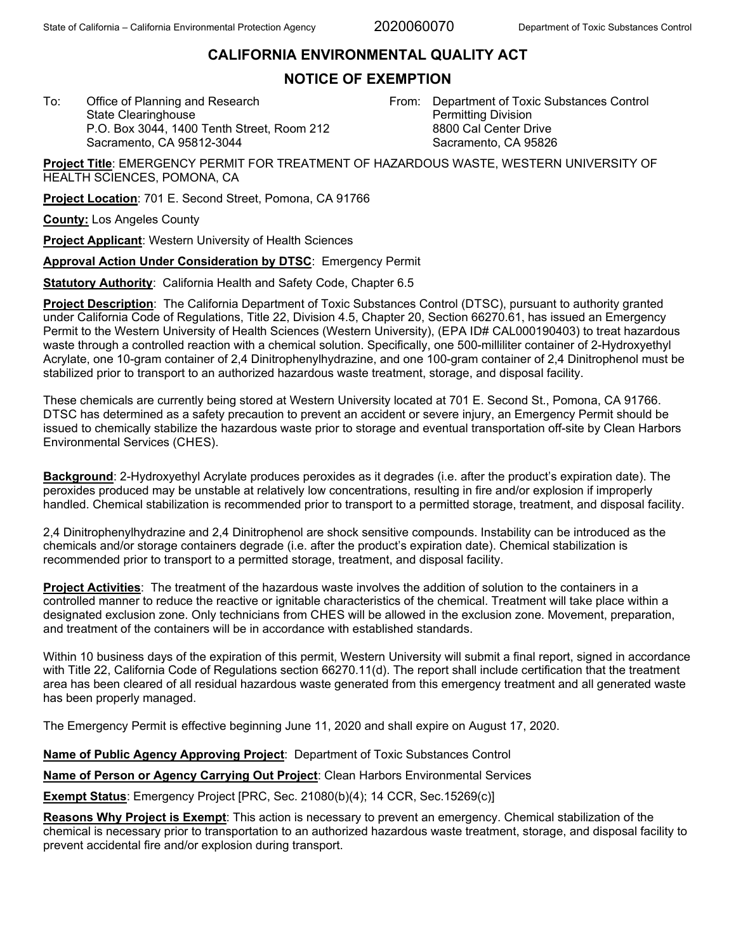2020060070

## **CALIFORNIA ENVIRONMENTAL QUALITY ACT**

## **NOTICE OF EXEMPTION**

To: Office of Planning and Research State Clearinghouse P.O. Box 3044, 1400 Tenth Street, Room 212 Sacramento, CA 95812-3044

From: Department of Toxic Substances Control Permitting Division 8800 Cal Center Drive Sacramento, CA 95826

**Project Title**: EMERGENCY PERMIT FOR TREATMENT OF HAZARDOUS WASTE, WESTERN UNIVERSITY OF HEALTH SCIENCES, POMONA, CA

**Project Location**: 701 E. Second Street, Pomona, CA 91766

**County:** Los Angeles County

**Project Applicant**: Western University of Health Sciences

**Approval Action Under Consideration by DTSC**: Emergency Permit

**Statutory Authority**: California Health and Safety Code, Chapter 6.5

**Project Description**: The California Department of Toxic Substances Control (DTSC), pursuant to authority granted under California Code of Regulations, Title 22, Division 4.5, Chapter 20, Section 66270.61, has issued an Emergency Permit to the Western University of Health Sciences (Western University), (EPA ID# CAL000190403) to treat hazardous waste through a controlled reaction with a chemical solution. Specifically, one 500-milliliter container of 2-Hydroxyethyl Acrylate, one 10-gram container of 2,4 Dinitrophenylhydrazine, and one 100-gram container of 2,4 Dinitrophenol must be stabilized prior to transport to an authorized hazardous waste treatment, storage, and disposal facility.

These chemicals are currently being stored at Western University located at 701 E. Second St., Pomona, CA 91766. DTSC has determined as a safety precaution to prevent an accident or severe injury, an Emergency Permit should be issued to chemically stabilize the hazardous waste prior to storage and eventual transportation off-site by Clean Harbors Environmental Services (CHES).

**Background**: 2-Hydroxyethyl Acrylate produces peroxides as it degrades (i.e. after the product's expiration date). The peroxides produced may be unstable at relatively low concentrations, resulting in fire and/or explosion if improperly handled. Chemical stabilization is recommended prior to transport to a permitted storage, treatment, and disposal facility.

2,4 Dinitrophenylhydrazine and 2,4 Dinitrophenol are shock sensitive compounds. Instability can be introduced as the chemicals and/or storage containers degrade (i.e. after the product's expiration date). Chemical stabilization is recommended prior to transport to a permitted storage, treatment, and disposal facility.

**Project Activities**: The treatment of the hazardous waste involves the addition of solution to the containers in a controlled manner to reduce the reactive or ignitable characteristics of the chemical. Treatment will take place within a designated exclusion zone. Only technicians from CHES will be allowed in the exclusion zone. Movement, preparation, and treatment of the containers will be in accordance with established standards.

Within 10 business days of the expiration of this permit. Western University will submit a final report, signed in accordance with Title 22, California Code of Regulations section 66270.11(d). The report shall include certification that the treatment area has been cleared of all residual hazardous waste generated from this emergency treatment and all generated waste has been properly managed.

The Emergency Permit is effective beginning June 11, 2020 and shall expire on August 17, 2020.

**Name of Public Agency Approving Project**: Department of Toxic Substances Control

**Name of Person or Agency Carrying Out Project**: Clean Harbors Environmental Services

**Exempt Status**: Emergency Project [PRC, Sec. 21080(b)(4); 14 CCR, Sec.15269(c)]

**Reasons Why Project is Exempt**: This action is necessary to prevent an emergency. Chemical stabilization of the chemical is necessary prior to transportation to an authorized hazardous waste treatment, storage, and disposal facility to prevent accidental fire and/or explosion during transport.